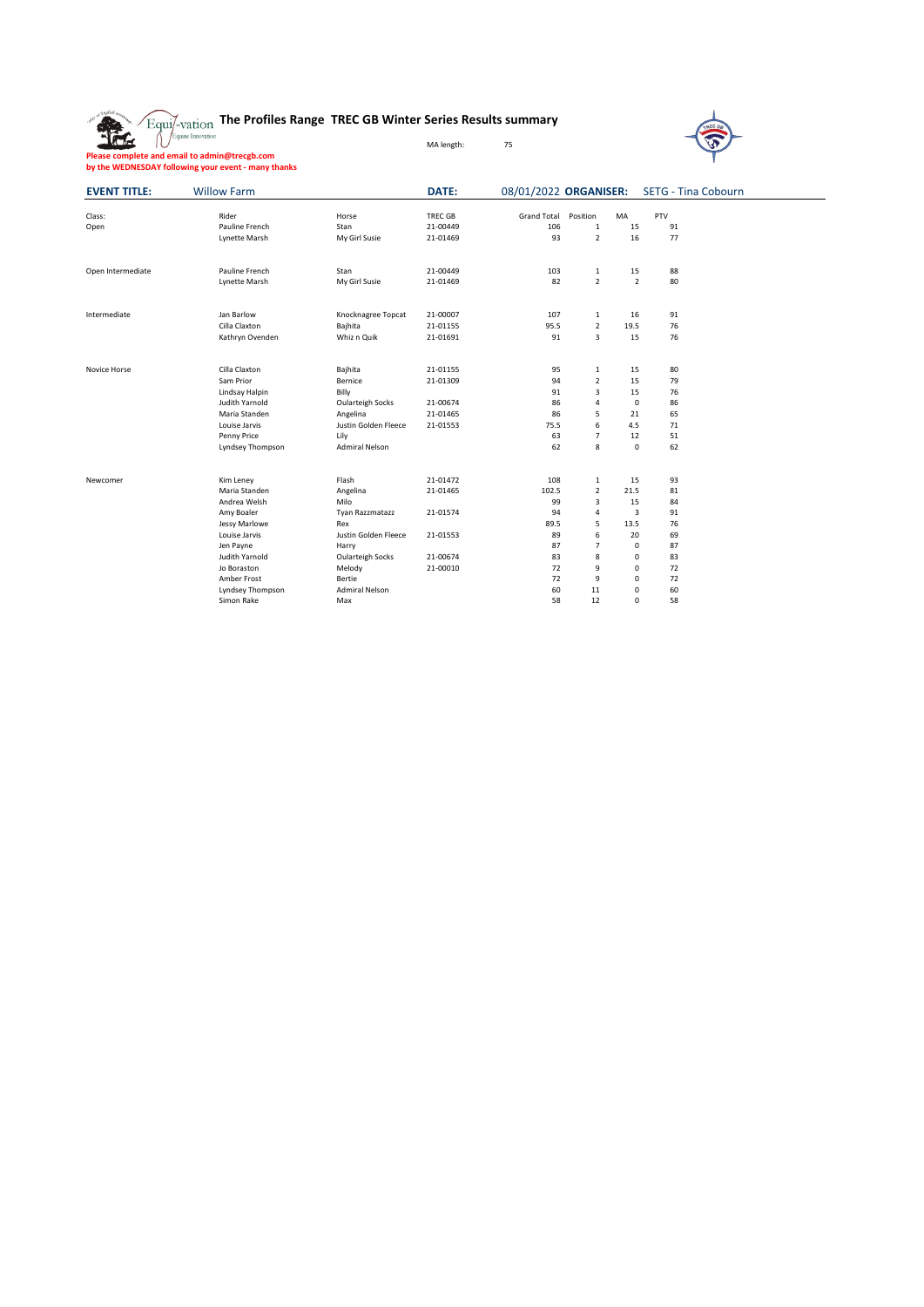|  | $\widetilde{\text{Equi}/\text{-}\text{vation}}$ The Profiles Range  TREC GB Winter Series Results summary |  |  |  |
|--|-----------------------------------------------------------------------------------------------------------|--|--|--|
|--|-----------------------------------------------------------------------------------------------------------|--|--|--|



 $\overline{\phantom{0}}$ 

**Please complete and email to admin@trecgb.com by the WEDNESDAY following your event - many thanks**

| <b>EVENT TITLE:</b> | <b>Willow Farm</b>      |                       | <b>DATE:</b>   |                    |                |                | 08/01/2022 ORGANISER: SETG - Tina Cobourn |  |
|---------------------|-------------------------|-----------------------|----------------|--------------------|----------------|----------------|-------------------------------------------|--|
| Class:              | Rider                   | Horse                 | <b>TREC GB</b> | <b>Grand Total</b> | Position       | MA             | PTV                                       |  |
| Open                | Pauline French          | Stan                  | 21-00449       | 106                | $\mathbf{1}$   | 15             | 91                                        |  |
|                     | Lynette Marsh           | My Girl Susie         | 21-01469       | 93                 | $\overline{2}$ | 16             | 77                                        |  |
| Open Intermediate   | Pauline French          | Stan                  | 21-00449       | 103                | 1              | 15             | 88                                        |  |
|                     | Lynette Marsh           | My Girl Susie         | 21-01469       | 82                 | $\overline{2}$ | $\overline{2}$ | 80                                        |  |
| Intermediate        | Jan Barlow              | Knocknagree Topcat    | 21-00007       | 107                | $\mathbf{1}$   | 16             | 91                                        |  |
|                     | Cilla Claxton           | Bajhita               | 21-01155       | 95.5               | $\overline{2}$ | 19.5           | 76                                        |  |
|                     | Kathryn Ovenden         | Whiz n Quik           | 21-01691       | 91                 | 3              | 15             | 76                                        |  |
| Novice Horse        | Cilla Claxton           | Bajhita               | 21-01155       | 95                 | 1              | 15             | 80                                        |  |
|                     | Sam Prior               | Bernice               | 21-01309       | 94                 | $\overline{2}$ | 15             | 79                                        |  |
|                     | Lindsay Halpin          | Billy                 |                | 91                 | 3              | 15             | 76                                        |  |
|                     | Judith Yarnold          | Oularteigh Socks      | 21-00674       | 86                 | 4              | $\mathbf 0$    | 86                                        |  |
|                     | Maria Standen           | Angelina              | 21-01465       | 86                 | 5              | 21             | 65                                        |  |
|                     | Louise Jarvis           | Justin Golden Fleece  | 21-01553       | 75.5               | 6              | 4.5            | 71                                        |  |
|                     | Penny Price             | Lily                  |                | 63                 | $\overline{7}$ | 12             | 51                                        |  |
|                     | <b>Lyndsey Thompson</b> | <b>Admiral Nelson</b> |                | 62                 | 8              | $\mathbf 0$    | 62                                        |  |
| Newcomer            | Kim Leney               | Flash                 | 21-01472       | 108                | $\mathbf{1}$   | 15             | 93                                        |  |
|                     | Maria Standen           | Angelina              | 21-01465       | 102.5              | $\overline{2}$ | 21.5           | 81                                        |  |
|                     | Andrea Welsh            | Milo                  |                | 99                 | 3              | 15             | 84                                        |  |
|                     | Amy Boaler              | Tyan Razzmatazz       | 21-01574       | 94                 | 4              | 3              | 91                                        |  |
|                     | Jessy Marlowe           | Rex                   |                | 89.5               | 5              | 13.5           | 76                                        |  |
|                     | Louise Jarvis           | Justin Golden Fleece  | 21-01553       | 89                 | 6              | 20             | 69                                        |  |
|                     | Jen Payne               | Harry                 |                | 87                 | $\overline{7}$ | 0              | 87                                        |  |
|                     | Judith Yarnold          | Oularteigh Socks      | 21-00674       | 83                 | 8              | 0              | 83                                        |  |
|                     | Jo Boraston             | Melody                | 21-00010       | 72                 | 9              | 0              | 72                                        |  |
|                     | Amber Frost             | Bertie                |                | 72                 | 9              | 0              | 72                                        |  |
|                     | Lyndsey Thompson        | <b>Admiral Nelson</b> |                | 60                 | 11             | 0              | 60                                        |  |
|                     | Simon Rake              | Max                   |                | 58                 | 12             | $\Omega$       | 58                                        |  |

MA length: 75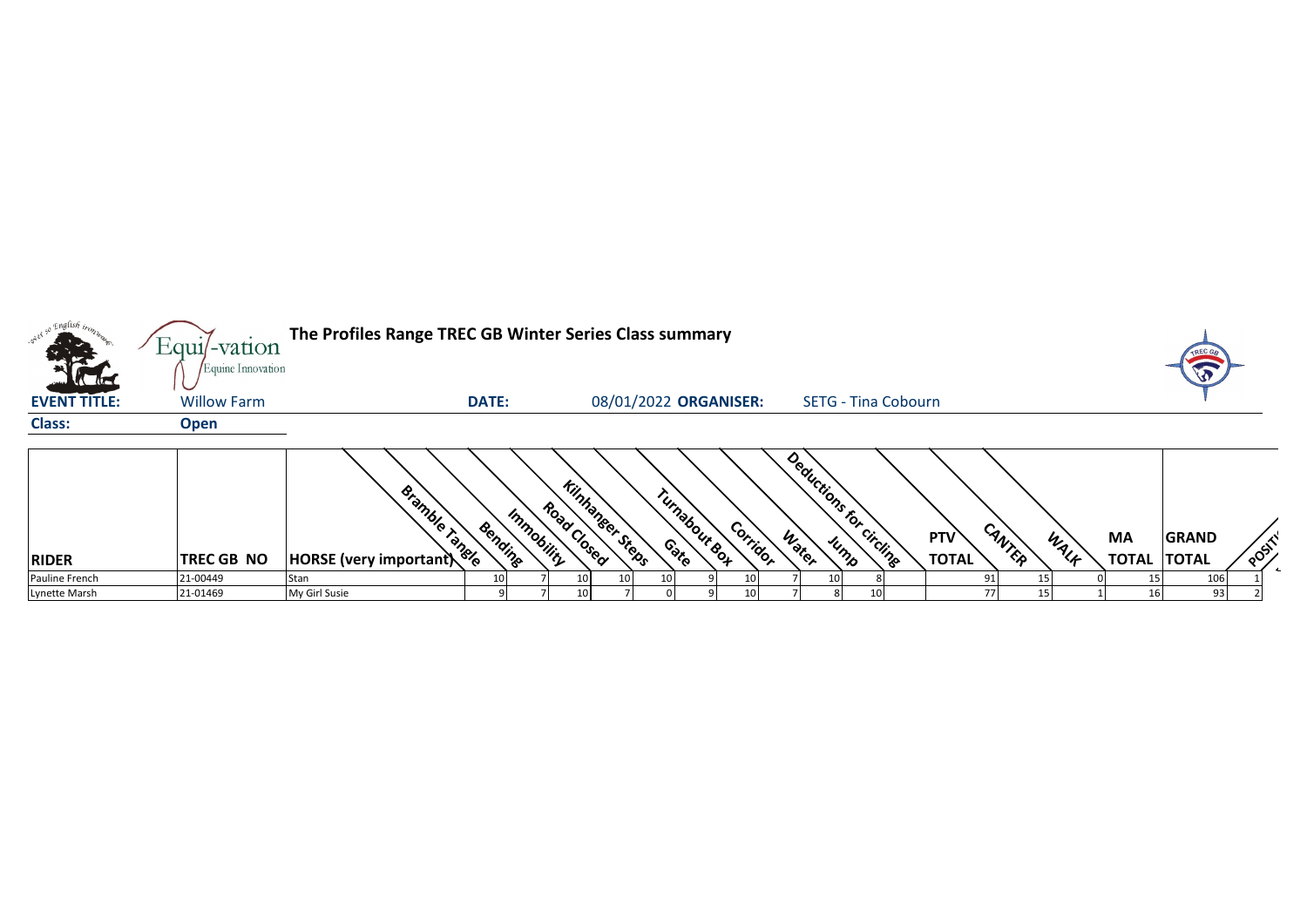|                                    | Equil-vation                            | The Profiles Range TREC GB Winter Series Class summary |              |            |                                       |                         |          |                         |                            |                            |        |      |                           | TREC GA                      |      |
|------------------------------------|-----------------------------------------|--------------------------------------------------------|--------------|------------|---------------------------------------|-------------------------|----------|-------------------------|----------------------------|----------------------------|--------|------|---------------------------|------------------------------|------|
| <b>VCIE</b><br><b>EVENT TITLE:</b> | Equine Innovation<br><b>Willow Farm</b> |                                                        | <b>DATE:</b> |            |                                       | 08/01/2022 ORGANISER:   |          |                         | <b>SETG - Tina Cobourn</b> |                            |        |      |                           |                              |      |
| <b>Class:</b>                      | <b>Open</b>                             |                                                        |              |            |                                       |                         |          |                         |                            |                            |        |      |                           |                              |      |
| <b>RIDER</b>                       | TREC GB NO                              | Bramble Tangle<br>HORSE (very important)               | Bending      | Immobility | <b>Kinhanger Steps</b><br>Road Closed | Turnabour & OH<br>Conto | Corridor | Deductions for<br>Water | circling<br>Jump           | <b>PTV</b><br><b>TOTAL</b> | CANTER | WALF | <b>MA</b><br><b>TOTAL</b> | <b>GRAND</b><br><b>TOTAL</b> | POST |
| Pauline French                     | 21-00449                                | Stan                                                   |              |            |                                       |                         |          | 10                      |                            |                            |        |      |                           | 106                          |      |
| Lynette Marsh                      | 21-01469                                | My Girl Susie                                          |              |            |                                       |                         |          |                         |                            |                            | 15     |      |                           | 93                           |      |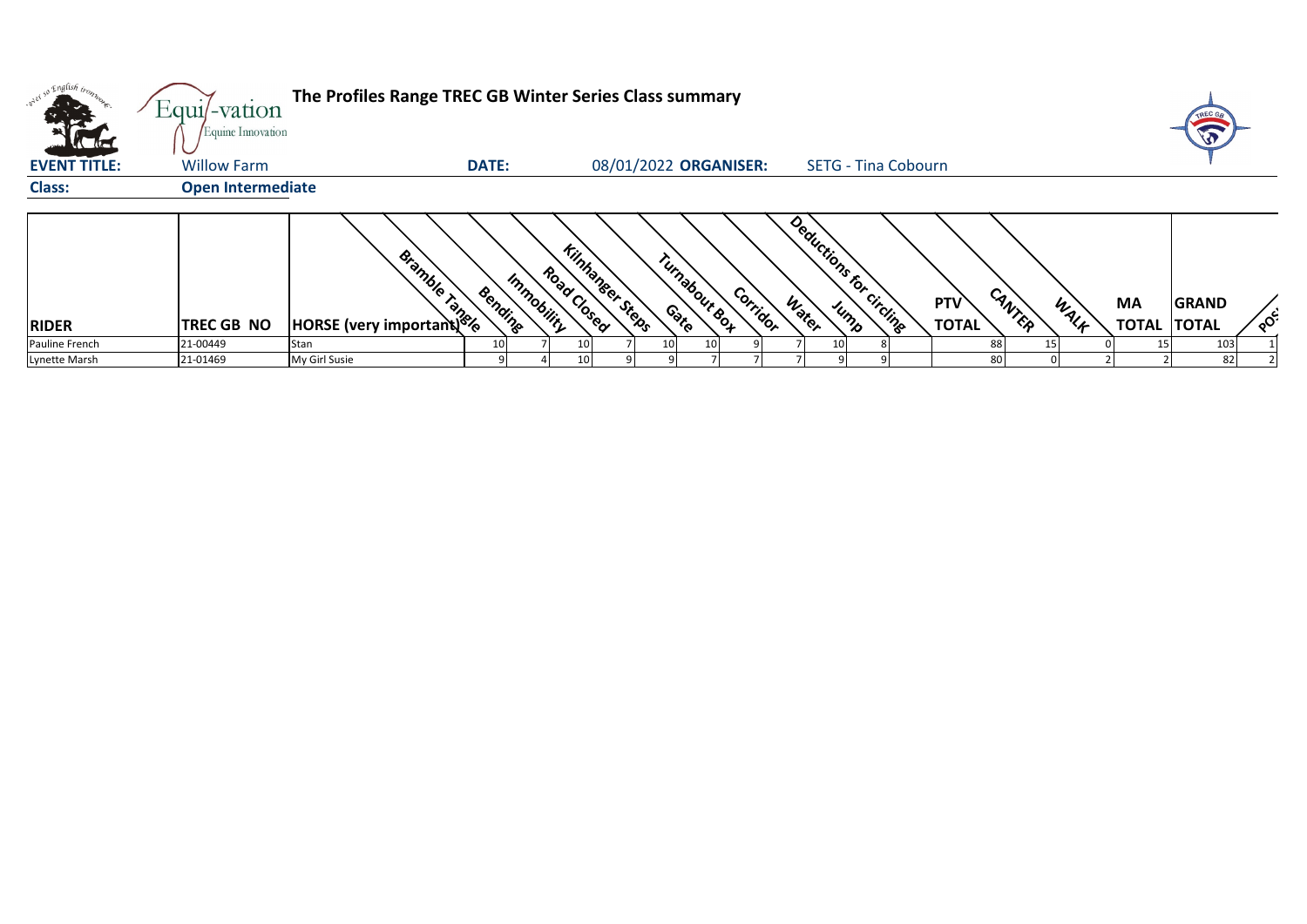| <b>.</b> or ex so<br><b>Alta</b> | $Equi$ -vation<br>Equine Innovation | The Profiles Range TREC GB Winter Series Class summary |                                      |                        |                                      |       |                            |                                      |      |                           | TREC GA                      |                                     |
|----------------------------------|-------------------------------------|--------------------------------------------------------|--------------------------------------|------------------------|--------------------------------------|-------|----------------------------|--------------------------------------|------|---------------------------|------------------------------|-------------------------------------|
| <b>EVENT TITLE:</b>              | <b>Willow Farm</b>                  | <b>DATE:</b>                                           |                                      |                        | 08/01/2022 ORGANISER:                |       | <b>SETG - Tina Cobourn</b> |                                      |      |                           |                              |                                     |
| <b>Class:</b>                    | <b>Open Intermediate</b>            |                                                        |                                      |                        |                                      |       |                            |                                      |      |                           |                              |                                     |
| <b>RIDER</b>                     | <b>TREC GB NO</b>                   | Bishback                                               | Road Closed<br>Immobility<br>Bending | <b>Kinhanger Steps</b> | Turnabour <sub>Sox</sub><br>Corridor | Water | Deductions for circling    | CANTER<br><b>PTV</b><br><b>TOTAL</b> | WALF | <b>MA</b><br><b>TOTAL</b> | <b>GRAND</b><br><b>TOTAL</b> | $\circ^{\mathcal{C}^{\mathcal{C}}}$ |
| Pauline French                   | 21-00449                            | Stan                                                   |                                      |                        | 10<br>10                             |       | 10                         | 88                                   |      |                           | 103                          |                                     |
| Lynette Marsh                    | 21-01469                            | My Girl Susie                                          |                                      |                        |                                      |       |                            | 80                                   |      |                           | 82                           |                                     |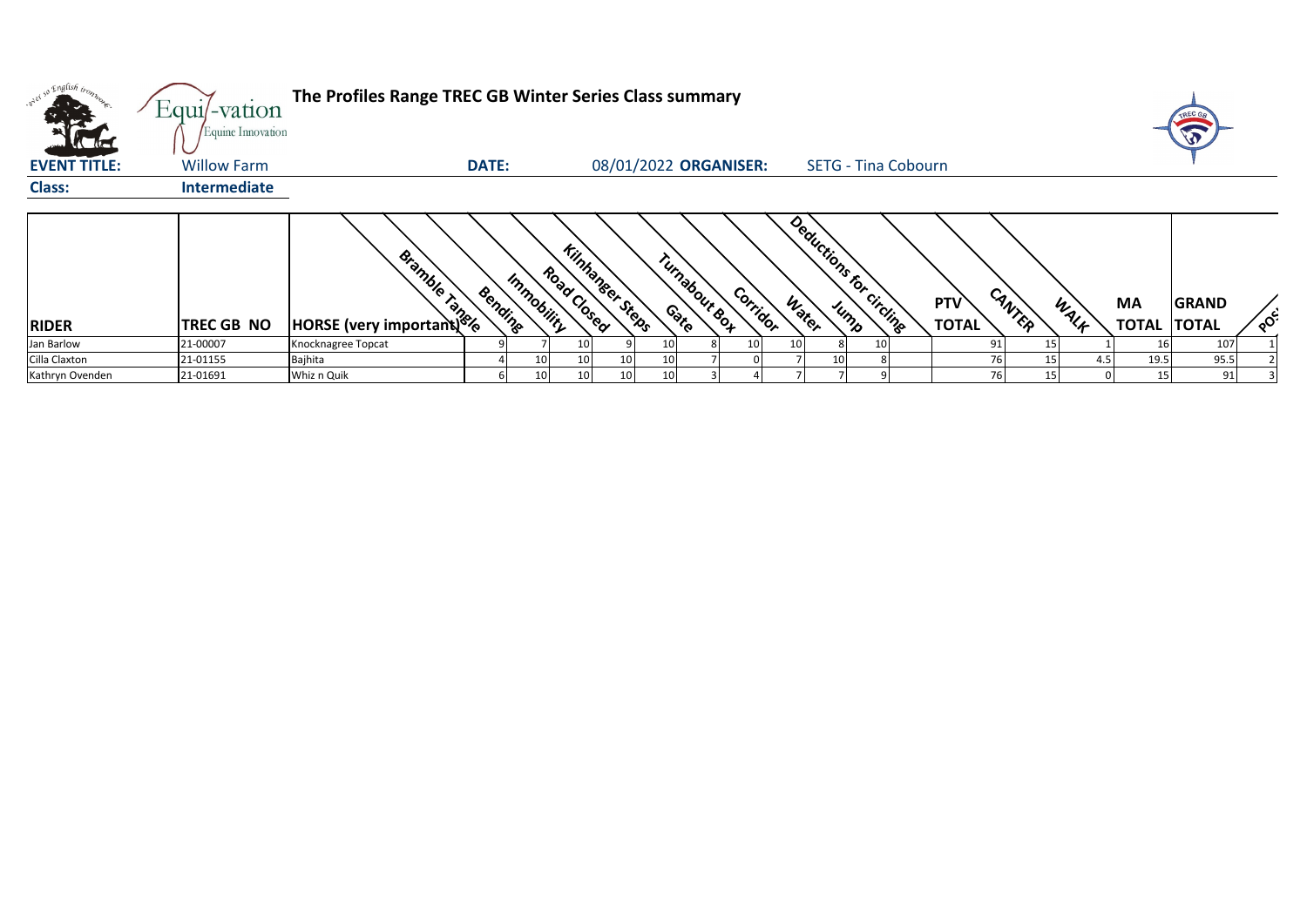|                     | Equi/-vation                            | The Profiles Range TREC GB Winter Series Class summary |              |            |                                |    |                                    |                       |    |    |                         |                            |                            |        |      |                          |              |                      |
|---------------------|-----------------------------------------|--------------------------------------------------------|--------------|------------|--------------------------------|----|------------------------------------|-----------------------|----|----|-------------------------|----------------------------|----------------------------|--------|------|--------------------------|--------------|----------------------|
| <b>EVENT TITLE:</b> | Equine Innovation<br><b>Willow Farm</b> |                                                        | <b>DATE:</b> |            |                                |    |                                    | 08/01/2022 ORGANISER: |    |    |                         | <b>SETG - Tina Cobourn</b> |                            |        |      |                          |              |                      |
| <b>Class:</b>       | <b>Intermediate</b>                     |                                                        |              |            |                                |    |                                    |                       |    |    |                         |                            |                            |        |      |                          |              |                      |
| <b>RIDER</b>        | <b>TREC GB NO</b>                       | Bishback                                               | Bending      | Immobility | Kinhaneer Steps<br>Road Closed |    | Turnabour <sub>So4</sub><br>Contro | Corridor              |    |    | Deductions for circling |                            | <b>PTV</b><br><b>TOTAL</b> | CANTER | WALK | MA<br><b>TOTAL TOTAL</b> | <b>GRAND</b> | $\circ$ <sup>c</sup> |
| Jan Barlow          | 21-00007                                | Knocknagree Topcat                                     |              |            | 10                             |    |                                    | 10 <sup>1</sup>       | 10 |    | 10 <sub>1</sub>         |                            | 91                         |        |      | 16                       | 107          |                      |
| Cilla Claxton       | 21-01155                                | Bajhita                                                |              | 10         | 10                             | 10 |                                    |                       |    | 10 |                         |                            |                            |        | 4.5  | 19.5                     | 95.5         |                      |
| Kathryn Ovenden     | 21-01691                                | Whiz n Quik                                            |              | 10         | 10                             | 10 |                                    |                       |    |    |                         |                            |                            | 15     |      | 15                       | 91           |                      |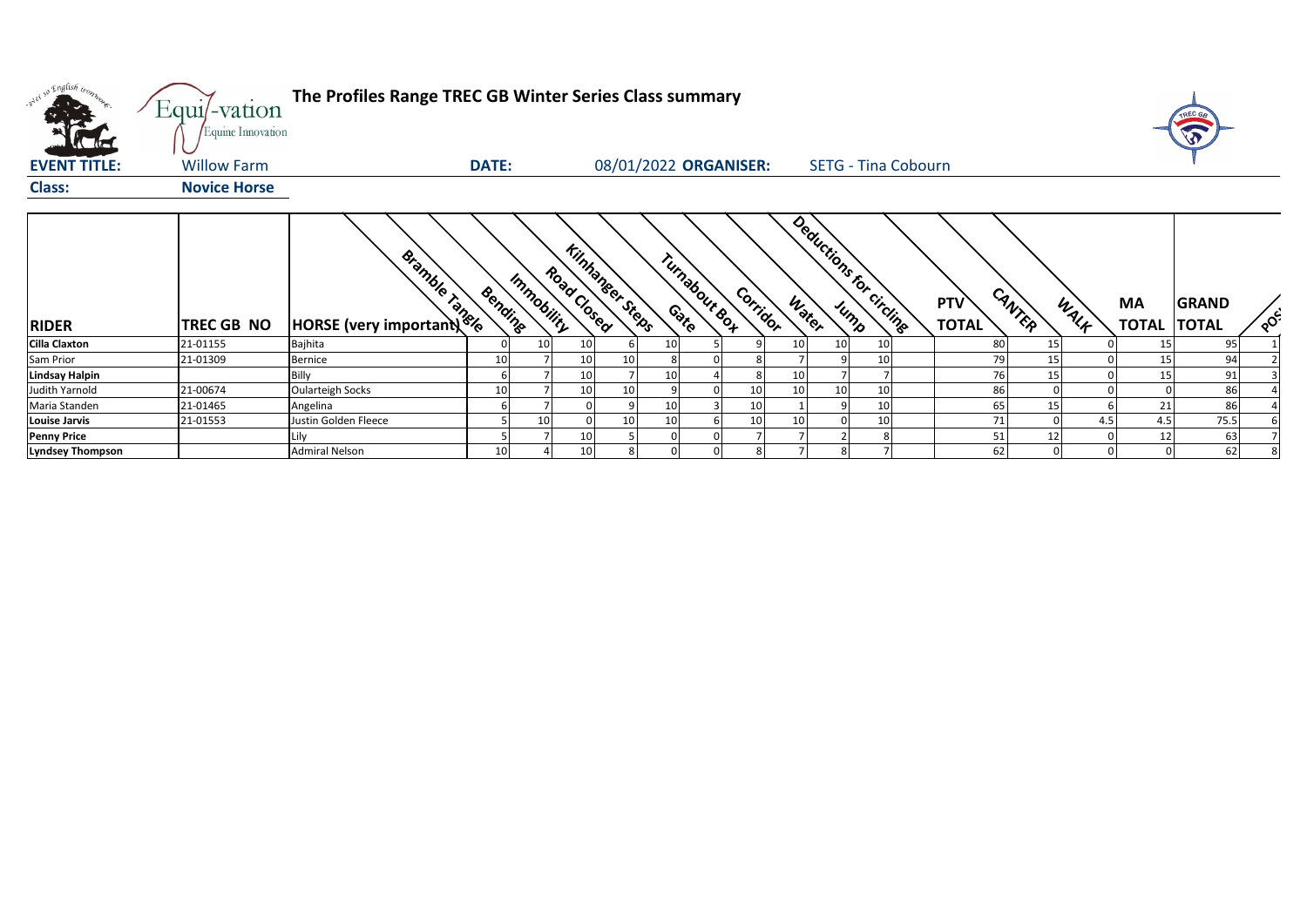| orel so English trong<br><b>Allen</b> | Equi/-vation<br>Equine Innovation | The Profiles Range TREC GB Winter Series Class summary |              |            |                                       |    |                       |          |                 |                            |    |                            |        |      |                          |              |          |
|---------------------------------------|-----------------------------------|--------------------------------------------------------|--------------|------------|---------------------------------------|----|-----------------------|----------|-----------------|----------------------------|----|----------------------------|--------|------|--------------------------|--------------|----------|
| <b>EVENT TITLE:</b>                   | <b>Willow Farm</b>                |                                                        | <b>DATE:</b> |            |                                       |    | 08/01/2022 ORGANISER: |          |                 | <b>SETG - Tina Cobourn</b> |    |                            |        |      |                          |              |          |
| <b>Class:</b>                         | <b>Novice Horse</b>               |                                                        |              |            |                                       |    |                       |          |                 |                            |    |                            |        |      |                          |              |          |
| <b>RIDER</b>                          | <b>TREC GB NO</b>                 | Bishband Reserved Bandles                              | Bending      | Immobility | <b>Kinhaneer Steps</b><br>Road Closed |    | Turnabour Box         | Corridor | Water           | Deductions for circuits    |    | <b>PTV</b><br><b>TOTAL</b> | CANTER | WALF | MA<br><b>TOTAL TOTAL</b> | <b>GRAND</b> | $80^{6}$ |
| <b>Cilla Claxton</b>                  | 21-01155                          | Bajhita                                                |              | 10         | 10                                    |    | 10                    |          | 10              | 10                         | 10 | 80                         | 15     |      | 15                       | 95           |          |
| Sam Prior                             | 21-01309                          | <b>Bernice</b>                                         | 10           |            | 10                                    | 10 |                       |          |                 |                            | 10 | 79                         | 15     |      | 15                       | 94           |          |
| <b>Lindsay Halpin</b>                 |                                   | Billy                                                  |              |            | 10                                    |    | 10                    |          | 10              |                            |    | 76                         | 15     |      | 15                       | 91           |          |
| Judith Yarnold                        | 21-00674                          | <b>Oularteigh Socks</b>                                | 10           |            | 10                                    | 10 |                       | 10       | 10              | 10                         | 10 | 86                         |        |      |                          | 86           |          |
| Maria Standen                         | 21-01465                          | Angelina                                               |              |            |                                       |    | 10                    | 10       |                 |                            | 10 | 65                         | 15     |      | 21                       | 86           |          |
| <b>Louise Jarvis</b>                  | 21-01553                          | Justin Golden Fleece                                   |              | 10         |                                       | 10 | 10                    | 10       | 10 <sup>1</sup> |                            | 10 | 71                         |        | 4.5  | 4.5                      | 75.5         |          |
| <b>Penny Price</b>                    |                                   | Lily                                                   |              |            | 10                                    |    | $\Omega$              |          |                 |                            |    | 51                         | 12     |      | 12                       | 63           |          |
| <b>Lyndsey Thompson</b>               |                                   | <b>Admiral Nelson</b>                                  | 10           |            | 10                                    |    |                       | 8        |                 |                            |    | 62                         |        |      | 0                        | 62           |          |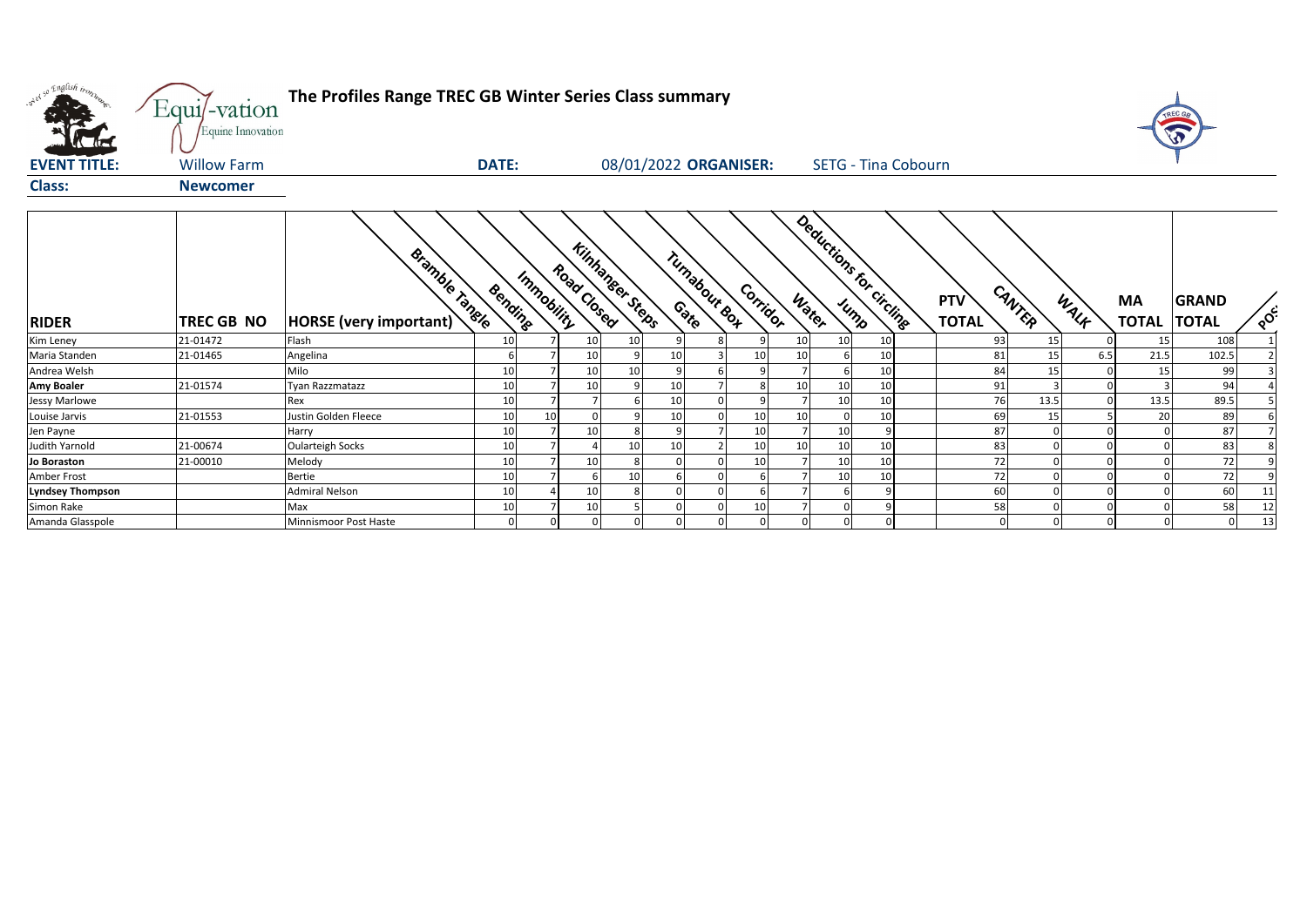| what so English trong   | Equi/-vation<br>Equine Innovation | The Profiles Range TREC GB Winter Series Class summary |              |            |                                       |    |              |              |                       |                |    |                            |                            |        |      |                           |                       |               |
|-------------------------|-----------------------------------|--------------------------------------------------------|--------------|------------|---------------------------------------|----|--------------|--------------|-----------------------|----------------|----|----------------------------|----------------------------|--------|------|---------------------------|-----------------------|---------------|
| <b>EVENT TITLE:</b>     | <b>Willow Farm</b>                |                                                        | <b>DATE:</b> |            |                                       |    |              |              | 08/01/2022 ORGANISER: |                |    | <b>SETG - Tina Cobourn</b> |                            |        |      |                           |                       |               |
| <b>Class:</b>           | <b>Newcomer</b>                   |                                                        |              |            |                                       |    |              |              |                       |                |    |                            |                            |        |      |                           |                       |               |
| <b>RIDER</b>            | TREC GB NO                        | <b>Bramble Tangle</b><br>HORSE (very important)        | Bending      | Immobility | <b>Kinhanser Steps</b><br>Road Closed |    |              | Tunabour Box | Corridor              | Water          |    | Deductions for circline    | <b>PTV</b><br><b>TOTAL</b> | CANTER | WALK | <b>MA</b><br><b>TOTAL</b> | GRAND<br><b>TOTAL</b> | $\circ^\circ$ |
| Kim Leney               | 21-01472                          | Flash                                                  | 10           |            | 10                                    | 10 |              |              |                       | 10             | 10 | 10                         | 93                         | 15     |      | 15                        | 108                   |               |
| Maria Standen           | 21-01465                          | Angelina                                               |              |            | 10                                    |    | 10           |              | 10                    | 10             |    | 10                         | 81                         | 15     | 6.5  | 21.5                      | 102.5                 |               |
| Andrea Welsh            |                                   | Milo                                                   | 10           |            | 10                                    | 10 | $\mathsf{q}$ |              |                       | $\overline{ }$ |    | 10                         | 84                         | 15     |      | 15                        | 99                    |               |
| <b>Amy Boaler</b>       | 21-01574                          | <b>Tyan Razzmatazz</b>                                 | 10           |            | 10                                    |    | 10           |              |                       | 10             | 10 | 10                         | 91                         |        |      |                           | 94                    |               |
| <b>Jessy Marlowe</b>    |                                   | Rex                                                    | 10           |            |                                       |    | 10           |              |                       |                | 10 | 10                         | 76                         | 13.5   |      | 13.5                      | 89.5                  |               |
| Louise Jarvis           | 21-01553                          | Justin Golden Fleece                                   | 10           | 10         |                                       |    | 10           |              | 10                    | 10             |    | 10                         | 69                         | 15     |      | 20                        | 89                    |               |
| Jen Payne               |                                   | Harry                                                  | 10           |            | 10                                    |    | $\mathsf{q}$ |              | 10                    |                | 10 |                            | 87                         |        |      |                           | 87                    |               |
| Judith Yarnold          | 21-00674                          | <b>Oularteigh Socks</b>                                | 10           |            |                                       | 10 | 10           |              | 10                    | 10             | 10 | 10                         | 83                         |        |      |                           | 83                    |               |
| Jo Boraston             | 21-00010                          | Melody                                                 | 10           |            | 10                                    |    | $\Omega$     |              | 10                    |                | 10 | 10                         | 72                         |        |      |                           | 72                    |               |
| Amber Frost             |                                   | <b>Bertie</b>                                          | 10           |            |                                       | 10 |              |              |                       |                | 10 | 10                         | 72                         |        |      |                           | 72                    |               |
| <b>Lyndsey Thompson</b> |                                   | <b>Admiral Nelson</b>                                  | 10           |            | 10                                    |    | $\Omega$     |              |                       |                |    |                            | 60                         |        |      |                           | 60                    | 11            |
| Simon Rake              |                                   | Max                                                    | 10           |            | 10                                    |    |              |              | 10                    |                |    |                            | 58                         |        |      |                           | 58                    | 12            |
| Amanda Glasspole        |                                   | Minnismoor Post Haste                                  |              |            | $\sqrt{ }$                            |    | $\Omega$     |              |                       |                |    |                            |                            |        |      |                           |                       | 13            |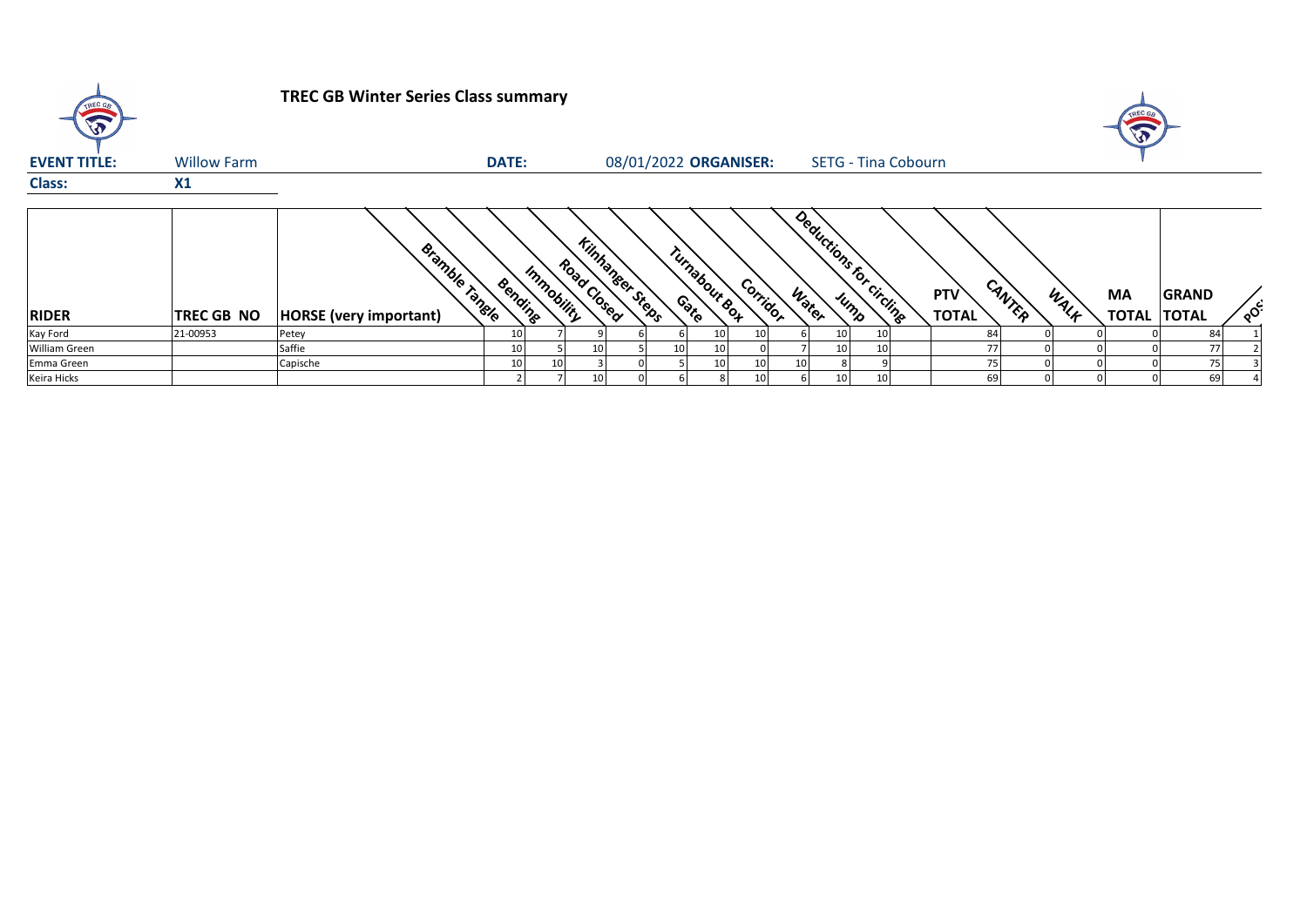| TREC GB             |                    | <b>TREC GB Winter Series Class summary</b>      |                 |            |             |                        |                         |                 |       |                            |                            |        |      | TREC GE<br>$\sqrt{3}$     |                              |         |
|---------------------|--------------------|-------------------------------------------------|-----------------|------------|-------------|------------------------|-------------------------|-----------------|-------|----------------------------|----------------------------|--------|------|---------------------------|------------------------------|---------|
| <b>EVENT TITLE:</b> | <b>Willow Farm</b> |                                                 | <b>DATE:</b>    |            |             | 08/01/2022 ORGANISER:  |                         |                 |       | <b>SETG - Tina Cobourn</b> |                            |        |      |                           |                              |         |
| <b>Class:</b>       | X1                 |                                                 |                 |            |             |                        |                         |                 |       |                            |                            |        |      |                           |                              |         |
| <b>RIDER</b>        | TREC GB NO         | <b>Bramble Tangle</b><br>HORSE (very important) | Bending         | Immobility | Road Closed | <b>Kinhanger Steps</b> | Turnabour Box<br>Contro | Corridor        | Water | Deductions for circuite    | <b>PTV</b><br><b>TOTAL</b> | CANTER | WALK | <b>MA</b><br><b>TOTAL</b> | <b>GRAND</b><br><b>TOTAL</b> | $\circ$ |
| Kay Ford            | 21-00953           | Petey                                           | 10              |            |             |                        | 10                      | 10              |       |                            | 84                         |        |      |                           | 84                           |         |
| William Green       |                    | Saffie                                          | 10              |            |             |                        | 10 <sup>1</sup><br>10   | 0.              |       | 10                         |                            | 77     |      |                           | 77                           |         |
| Emma Green          |                    | Capische                                        | 10 <sub>1</sub> | 10         |             |                        | 10                      | 10              | 10    |                            |                            | 75     |      |                           | 75                           |         |
| Keira Hicks         |                    |                                                 |                 |            |             |                        |                         | 10 <sup>1</sup> |       |                            |                            | 69     |      |                           | 69                           |         |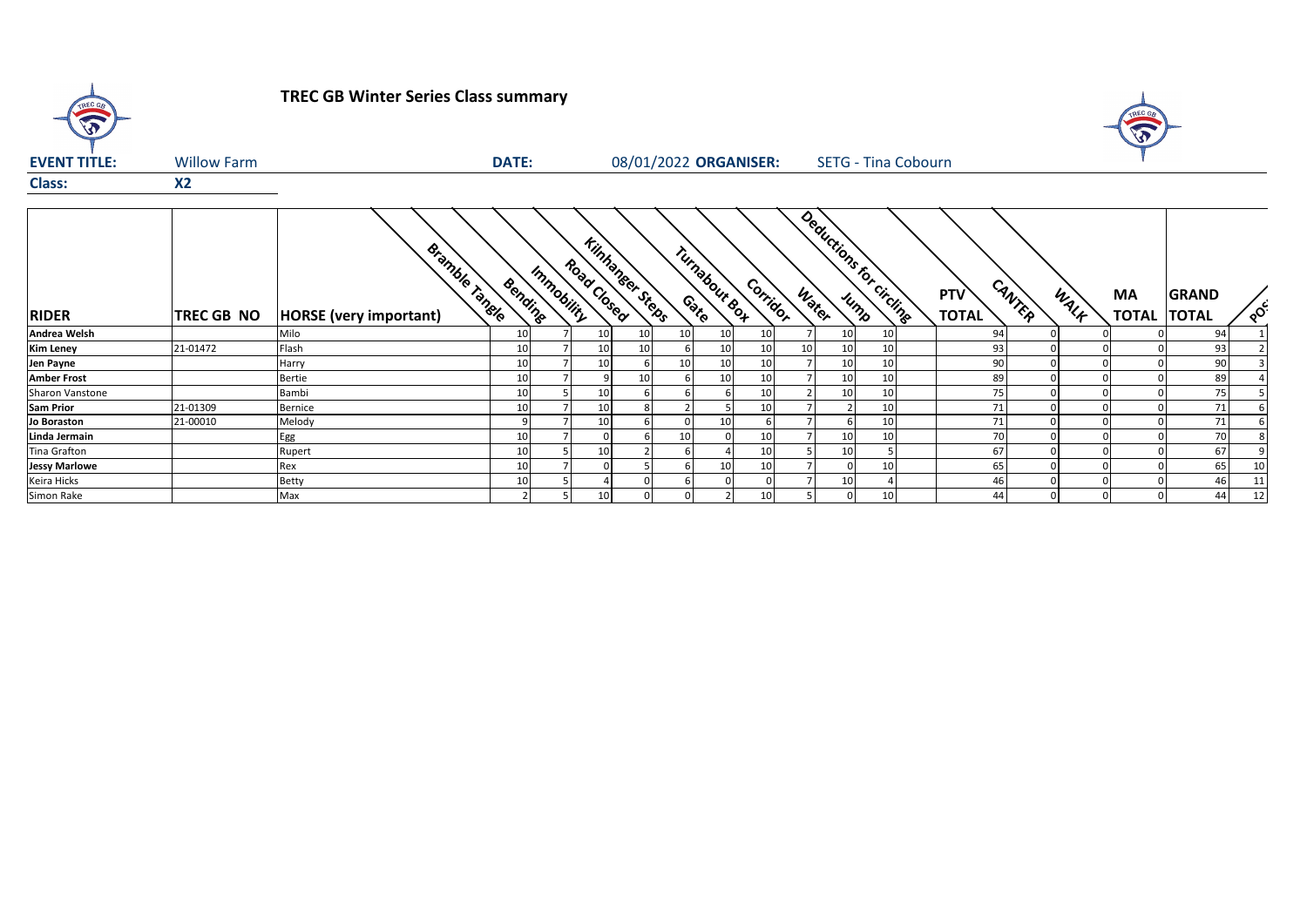| TREC GB                |                    | <b>TREC GB Winter Series Class summary</b>     |                 |                                                     |    |                       |          |          |                 |                            |                               |      |                           |                              |          |
|------------------------|--------------------|------------------------------------------------|-----------------|-----------------------------------------------------|----|-----------------------|----------|----------|-----------------|----------------------------|-------------------------------|------|---------------------------|------------------------------|----------|
| <b>EVENT TITLE:</b>    | <b>Willow Farm</b> |                                                | <b>DATE:</b>    |                                                     |    | 08/01/2022 ORGANISER: |          |          |                 | <b>SETG - Tina Cobourn</b> |                               |      |                           |                              |          |
| <b>Class:</b>          | <b>X2</b>          |                                                |                 |                                                     |    |                       |          |          |                 |                            |                               |      |                           |                              |          |
| <b>RIDER</b>           | TREC GB NO         | Bramble range<br><b>HORSE</b> (very important) | Bending         | <b>Kinhanger Steps</b><br>Road Closed<br>Immobility |    | Turnabour eos         |          | Corridor | Water           | Deductions for circling    | CANTER<br>PTV<br><b>TOTAL</b> | WALK | <b>MA</b><br><b>TOTAL</b> | <b>GRAND</b><br><b>TOTAL</b> | $\delta$ |
| Andrea Welsh           |                    | Milo                                           | 10 <sup>1</sup> | 10                                                  | 10 | 10                    | 10       | 10       | 10 <sup>1</sup> | 10 <sup>1</sup>            | 94                            |      |                           | 94                           |          |
| <b>Kim Leney</b>       | 21-01472           | Flash                                          | 10              | 10                                                  | 10 |                       | 10       | 10<br>10 | 10              | 10 <sup>1</sup>            | 93                            |      |                           | 93                           |          |
| Jen Payne              |                    | Harry                                          | 10              | 10                                                  |    | 10                    | 10       | 10       | 10              | 10                         | 90                            |      |                           | 90                           |          |
| <b>Amber Frost</b>     |                    | <b>Bertie</b>                                  | 10 <sup>1</sup> |                                                     | 10 |                       | 10       | 10       | 10              | 10                         | 89                            |      |                           | 89                           |          |
| <b>Sharon Vanstone</b> |                    | Bambi                                          | 10 <sup>1</sup> | 10                                                  |    |                       |          | 10       | 10              | 10 <sup>1</sup>            | 75                            |      |                           | 75                           |          |
| <b>Sam Prior</b>       | 21-01309           | <b>Bernice</b>                                 | 10 <sup>1</sup> | 10                                                  |    |                       |          | 10       |                 | 10 <sup>1</sup>            | 71                            |      |                           | 71                           |          |
| Jo Boraston            | 21-00010           | Melody                                         | q               | 10                                                  |    |                       | 10       |          |                 | 10 <sup>1</sup>            | 71                            |      |                           | 71                           |          |
| Linda Jermain          |                    | Egg                                            | 10 <sup>1</sup> |                                                     |    | 10                    | $\Omega$ | 10       | 10              | 10 <sup>1</sup>            | 70                            |      |                           | 70                           |          |
| <b>Tina Grafton</b>    |                    | Rupert                                         | 10 <sup>1</sup> | 10                                                  |    |                       |          | 10       | 10              |                            | 67                            |      |                           | 67                           |          |
| <b>Jessy Marlowe</b>   |                    | Rex                                            | 10 <sup>1</sup> |                                                     |    |                       | 10       | 10       |                 | 10 <sup>1</sup>            | 65                            |      |                           | 65                           | 10       |
| Keira Hicks            |                    | <b>Betty</b>                                   | 10              |                                                     |    |                       |          |          | 10              |                            | 46                            |      |                           | 46                           |          |
| Simon Rake             |                    | Max                                            | $\mathcal{L}$   | 10                                                  |    |                       |          | 10       |                 | 10 <sup>1</sup>            | 44                            |      |                           | 44                           | 12       |